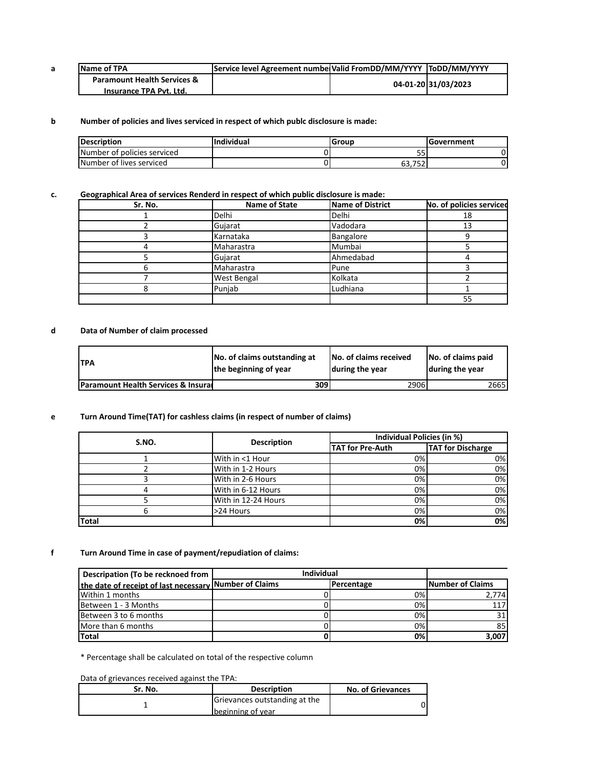| a | Name of TPA                            | Service level Agreement numbe Valid FromDD/MM/YYYY ToDD/MM/YYYY |                     |
|---|----------------------------------------|-----------------------------------------------------------------|---------------------|
|   | <b>Paramount Health Services &amp;</b> |                                                                 | 04-01-20 31/03/2023 |
|   | Insurance TPA Pvt. Ltd.                |                                                                 |                     |

## **b Number of policies and lives serviced in respect of which publc disclosure is made:**

| <b>Description</b>          | <b>Individual</b> | Group    | lGovernment |
|-----------------------------|-------------------|----------|-------------|
| Number of policies serviced |                   | --<br>ככ |             |
| Number of lives serviced    |                   | 63.752   |             |

# **c. Geographical Area of services Renderd in respect of which public disclosure is made:**

| Sr. No. | Name of State      | <b>Name of District</b> | No. of policies serviced |
|---------|--------------------|-------------------------|--------------------------|
|         | Delhi              | Delhi                   | 18                       |
|         | Gujarat            | Vadodara                | 13                       |
|         | Karnataka          | Bangalore               |                          |
|         | Maharastra         | Mumbai                  |                          |
|         | Gujarat            | Ahmedabad               |                          |
|         | Maharastra         | Pune                    |                          |
|         | <b>West Bengal</b> | Kolkata                 |                          |
|         | Puniab             | Ludhiana                |                          |
|         |                    |                         | 55                       |

## **d Data of Number of claim processed**

| <b>TPA</b>                                     | No. of claims outstanding at | <b>No. of claims received</b> | No. of claims paid |
|------------------------------------------------|------------------------------|-------------------------------|--------------------|
|                                                | the beginning of year        | during the year               | during the year    |
| <b>Paramount Health Services &amp; Insural</b> | 309                          | 29061                         | 26651              |

#### **e Turn Around Time(TAT) for cashless claims (in respect of number of claims)**

| S.NO. | <b>Description</b>  | Individual Policies (in %) |                          |  |
|-------|---------------------|----------------------------|--------------------------|--|
|       |                     | <b>TAT for Pre-Auth</b>    | <b>TAT for Discharge</b> |  |
|       | With in <1 Hour     | 0%                         | 0%                       |  |
|       | With in 1-2 Hours   | $0\%$                      | 0%                       |  |
|       | With in 2-6 Hours   | $0\%$                      | 0%                       |  |
|       | With in 6-12 Hours  | 0%                         | 0%                       |  |
|       | With in 12-24 Hours | $0\%$                      | 0%                       |  |
|       | >24 Hours           | 0%                         | 0%                       |  |
| Total |                     | 0%                         | 0%                       |  |

#### **f Turn Around Time in case of payment/repudiation of claims:**

| Descripation (To be recknoed from                      | <b>Individual</b> |            |                          |
|--------------------------------------------------------|-------------------|------------|--------------------------|
| the date of receipt of last necessary Number of Claims |                   | Percentage | <b>INumber of Claims</b> |
| Within 1 months                                        |                   | $0\%$      | 2,774                    |
| Between 1 - 3 Months                                   |                   | 0%         | 117                      |
| Between 3 to 6 months                                  |                   | 0%         | 31                       |
| More than 6 months                                     |                   | $0\%$      | 85                       |
| <b>Total</b>                                           |                   | 0%         | 3,007                    |

\* Percentage shall be calculated on total of the respective column

Data of grievances received against the TPA:

| Sr. No. | <b>Description</b>            | <b>No. of Grievances</b> |
|---------|-------------------------------|--------------------------|
|         | Grievances outstanding at the |                          |
|         | beginning of year             |                          |
|         |                               |                          |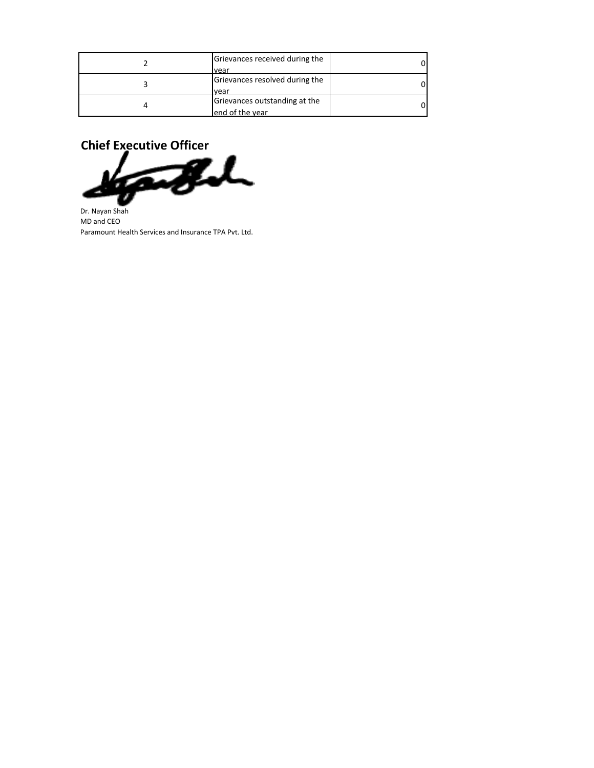| Grievances received during the<br>vear            |  |
|---------------------------------------------------|--|
| Grievances resolved during the<br>vear            |  |
| Grievances outstanding at the<br>lend of the year |  |



Ø Dr. Nayan Shah MD and CEO Paramount Health Services and Insurance TPA Pvt. Ltd.